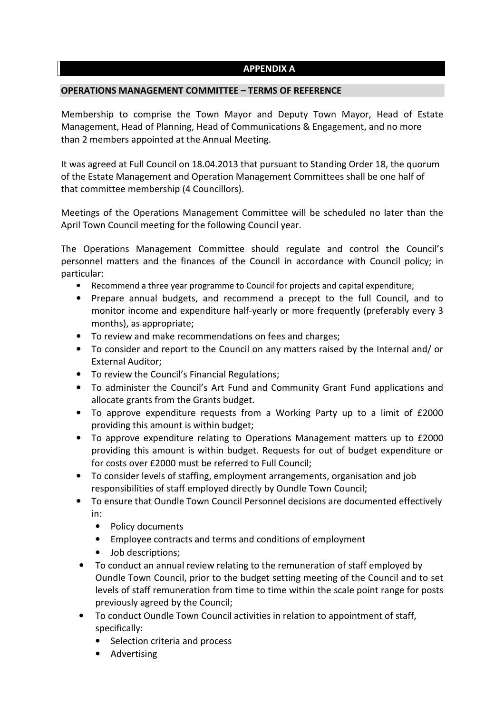# **APPENDIX A**

### **OPERATIONS MANAGEMENT COMMITTEE – TERMS OF REFERENCE**

Membership to comprise the Town Mayor and Deputy Town Mayor, Head of Estate Management, Head of Planning, Head of Communications & Engagement, and no more than 2 members appointed at the Annual Meeting.

It was agreed at Full Council on 18.04.2013 that pursuant to Standing Order 18, the quorum of the Estate Management and Operation Management Committees shall be one half of that committee membership (4 Councillors).

Meetings of the Operations Management Committee will be scheduled no later than the April Town Council meeting for the following Council year.

The Operations Management Committee should regulate and control the Council's personnel matters and the finances of the Council in accordance with Council policy; in particular:

- Recommend a three year programme to Council for projects and capital expenditure;
- Prepare annual budgets, and recommend a precept to the full Council, and to monitor income and expenditure half-yearly or more frequently (preferably every 3 months), as appropriate;
- To review and make recommendations on fees and charges;
- To consider and report to the Council on any matters raised by the Internal and/ or External Auditor;
- To review the Council's Financial Regulations;
- To administer the Council's Art Fund and Community Grant Fund applications and allocate grants from the Grants budget.
- To approve expenditure requests from a Working Party up to a limit of £2000 providing this amount is within budget;
- To approve expenditure relating to Operations Management matters up to £2000 providing this amount is within budget. Requests for out of budget expenditure or for costs over £2000 must be referred to Full Council;
- To consider levels of staffing, employment arrangements, organisation and job responsibilities of staff employed directly by Oundle Town Council;
- To ensure that Oundle Town Council Personnel decisions are documented effectively in:
	- Policy documents
	- Employee contracts and terms and conditions of employment
	- Job descriptions;
- To conduct an annual review relating to the remuneration of staff employed by Oundle Town Council, prior to the budget setting meeting of the Council and to set levels of staff remuneration from time to time within the scale point range for posts previously agreed by the Council;
- To conduct Oundle Town Council activities in relation to appointment of staff, specifically:
	- Selection criteria and process
	- Advertising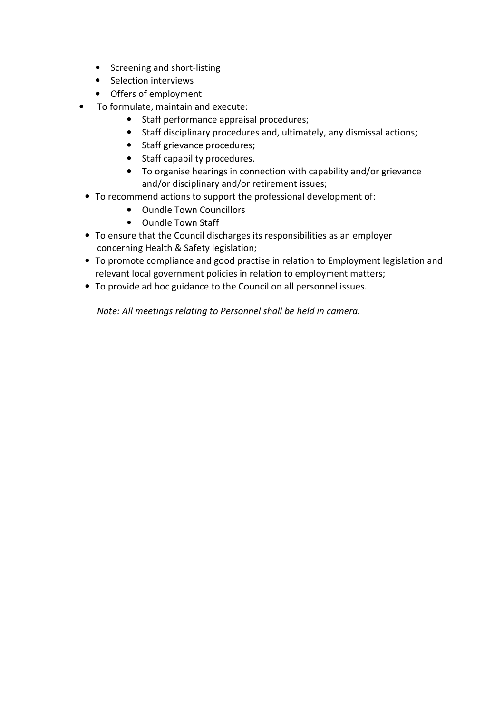- Screening and short-listing
- Selection interviews
- Offers of employment
- To formulate, maintain and execute:
	- Staff performance appraisal procedures;
	- Staff disciplinary procedures and, ultimately, any dismissal actions;
	- Staff grievance procedures;
	- Staff capability procedures.
	- To organise hearings in connection with capability and/or grievance and/or disciplinary and/or retirement issues;
	- To recommend actions to support the professional development of:
		- Oundle Town Councillors
		- Oundle Town Staff
	- To ensure that the Council discharges its responsibilities as an employer concerning Health & Safety legislation;
	- To promote compliance and good practise in relation to Employment legislation and relevant local government policies in relation to employment matters;
	- To provide ad hoc guidance to the Council on all personnel issues.

 *Note: All meetings relating to Personnel shall be held in camera.*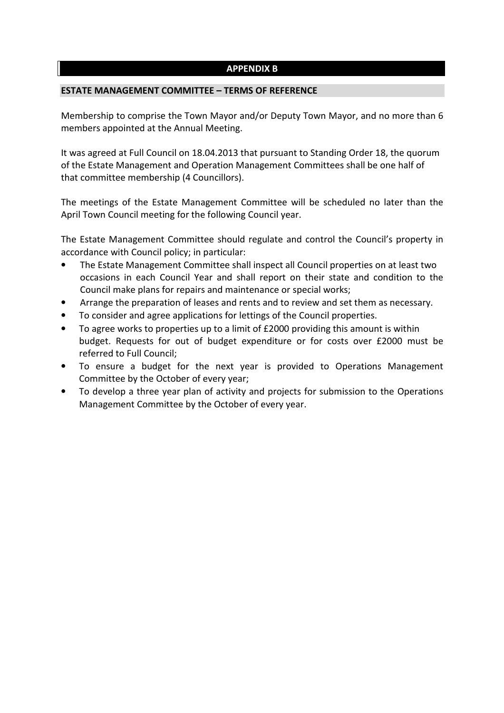## **APPENDIX B**

#### **ESTATE MANAGEMENT COMMITTEE – TERMS OF REFERENCE**

Membership to comprise the Town Mayor and/or Deputy Town Mayor, and no more than 6 members appointed at the Annual Meeting.

It was agreed at Full Council on 18.04.2013 that pursuant to Standing Order 18, the quorum of the Estate Management and Operation Management Committees shall be one half of that committee membership (4 Councillors).

The meetings of the Estate Management Committee will be scheduled no later than the April Town Council meeting for the following Council year.

The Estate Management Committee should regulate and control the Council's property in accordance with Council policy; in particular:

- The Estate Management Committee shall inspect all Council properties on at least two occasions in each Council Year and shall report on their state and condition to the Council make plans for repairs and maintenance or special works;
- Arrange the preparation of leases and rents and to review and set them as necessary.
- To consider and agree applications for lettings of the Council properties.
- To agree works to properties up to a limit of £2000 providing this amount is within budget. Requests for out of budget expenditure or for costs over £2000 must be referred to Full Council;
- To ensure a budget for the next year is provided to Operations Management Committee by the October of every year;
- To develop a three year plan of activity and projects for submission to the Operations Management Committee by the October of every year.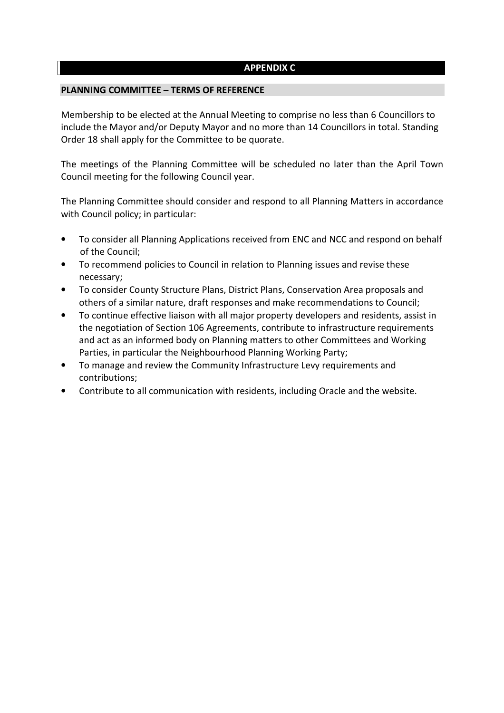## **APPENDIX C**

#### **PLANNING COMMITTEE – TERMS OF REFERENCE**

Membership to be elected at the Annual Meeting to comprise no less than 6 Councillors to include the Mayor and/or Deputy Mayor and no more than 14 Councillors in total. Standing Order 18 shall apply for the Committee to be quorate.

The meetings of the Planning Committee will be scheduled no later than the April Town Council meeting for the following Council year.

The Planning Committee should consider and respond to all Planning Matters in accordance with Council policy; in particular:

- To consider all Planning Applications received from ENC and NCC and respond on behalf of the Council;
- To recommend policies to Council in relation to Planning issues and revise these necessary;
- To consider County Structure Plans, District Plans, Conservation Area proposals and others of a similar nature, draft responses and make recommendations to Council;
- To continue effective liaison with all major property developers and residents, assist in the negotiation of Section 106 Agreements, contribute to infrastructure requirements and act as an informed body on Planning matters to other Committees and Working Parties, in particular the Neighbourhood Planning Working Party;
- To manage and review the Community Infrastructure Levy requirements and contributions;
- Contribute to all communication with residents, including Oracle and the website.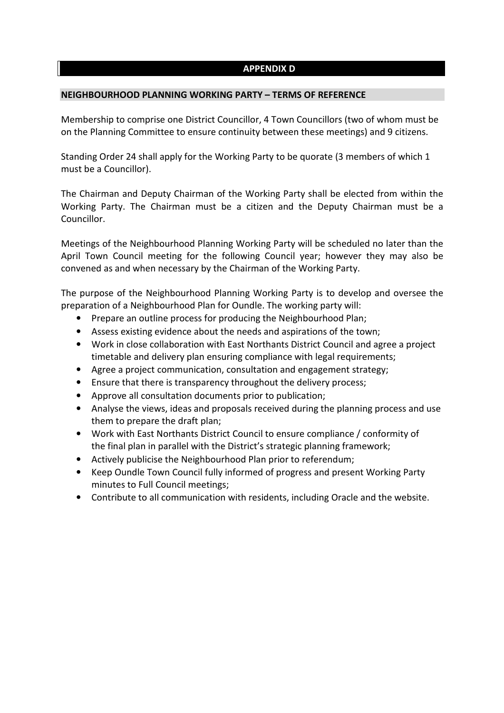## **APPENDIX D**

#### **NEIGHBOURHOOD PLANNING WORKING PARTY – TERMS OF REFERENCE**

Membership to comprise one District Councillor, 4 Town Councillors (two of whom must be on the Planning Committee to ensure continuity between these meetings) and 9 citizens.

Standing Order 24 shall apply for the Working Party to be quorate (3 members of which 1 must be a Councillor).

The Chairman and Deputy Chairman of the Working Party shall be elected from within the Working Party. The Chairman must be a citizen and the Deputy Chairman must be a Councillor.

Meetings of the Neighbourhood Planning Working Party will be scheduled no later than the April Town Council meeting for the following Council year; however they may also be convened as and when necessary by the Chairman of the Working Party.

The purpose of the Neighbourhood Planning Working Party is to develop and oversee the preparation of a Neighbourhood Plan for Oundle. The working party will:

- Prepare an outline process for producing the Neighbourhood Plan;
- Assess existing evidence about the needs and aspirations of the town;
- Work in close collaboration with East Northants District Council and agree a project timetable and delivery plan ensuring compliance with legal requirements;
- Agree a project communication, consultation and engagement strategy;
- Ensure that there is transparency throughout the delivery process;
- Approve all consultation documents prior to publication;
- Analyse the views, ideas and proposals received during the planning process and use them to prepare the draft plan;
- Work with East Northants District Council to ensure compliance / conformity of the final plan in parallel with the District's strategic planning framework;
- Actively publicise the Neighbourhood Plan prior to referendum;
- Keep Oundle Town Council fully informed of progress and present Working Party minutes to Full Council meetings;
- Contribute to all communication with residents, including Oracle and the website.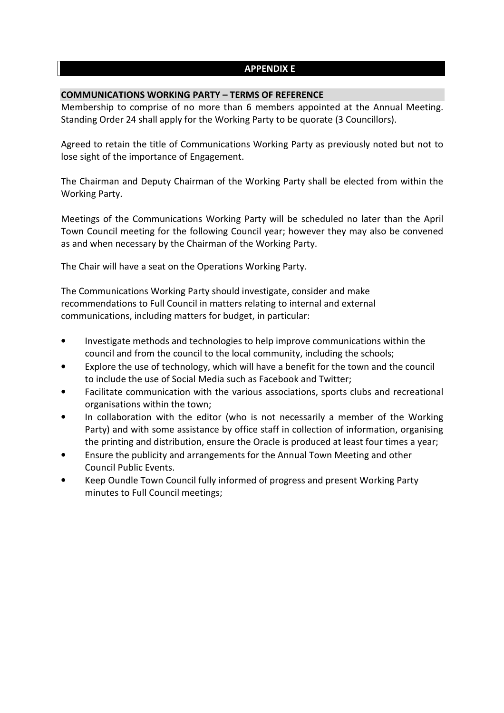# **APPENDIX E**

### **COMMUNICATIONS WORKING PARTY – TERMS OF REFERENCE**

Membership to comprise of no more than 6 members appointed at the Annual Meeting. Standing Order 24 shall apply for the Working Party to be quorate (3 Councillors).

Agreed to retain the title of Communications Working Party as previously noted but not to lose sight of the importance of Engagement.

The Chairman and Deputy Chairman of the Working Party shall be elected from within the Working Party.

Meetings of the Communications Working Party will be scheduled no later than the April Town Council meeting for the following Council year; however they may also be convened as and when necessary by the Chairman of the Working Party.

The Chair will have a seat on the Operations Working Party.

The Communications Working Party should investigate, consider and make recommendations to Full Council in matters relating to internal and external communications, including matters for budget, in particular:

- Investigate methods and technologies to help improve communications within the council and from the council to the local community, including the schools;
- Explore the use of technology, which will have a benefit for the town and the council to include the use of Social Media such as Facebook and Twitter;
- Facilitate communication with the various associations, sports clubs and recreational organisations within the town;
- In collaboration with the editor (who is not necessarily a member of the Working Party) and with some assistance by office staff in collection of information, organising the printing and distribution, ensure the Oracle is produced at least four times a year;
- Ensure the publicity and arrangements for the Annual Town Meeting and other Council Public Events.
- Keep Oundle Town Council fully informed of progress and present Working Party minutes to Full Council meetings;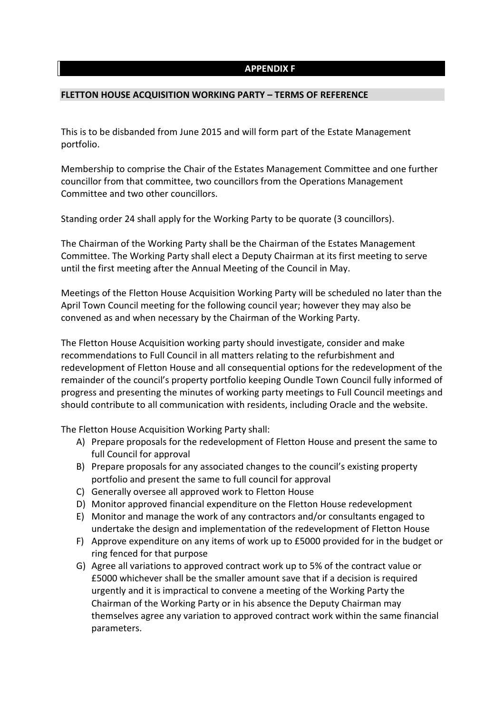#### **APPENDIX F**

#### **FLETTON HOUSE ACQUISITION WORKING PARTY – TERMS OF REFERENCE**

This is to be disbanded from June 2015 and will form part of the Estate Management portfolio.

Membership to comprise the Chair of the Estates Management Committee and one further councillor from that committee, two councillors from the Operations Management Committee and two other councillors.

Standing order 24 shall apply for the Working Party to be quorate (3 councillors).

The Chairman of the Working Party shall be the Chairman of the Estates Management Committee. The Working Party shall elect a Deputy Chairman at its first meeting to serve until the first meeting after the Annual Meeting of the Council in May.

Meetings of the Fletton House Acquisition Working Party will be scheduled no later than the April Town Council meeting for the following council year; however they may also be convened as and when necessary by the Chairman of the Working Party.

The Fletton House Acquisition working party should investigate, consider and make recommendations to Full Council in all matters relating to the refurbishment and redevelopment of Fletton House and all consequential options for the redevelopment of the remainder of the council's property portfolio keeping Oundle Town Council fully informed of progress and presenting the minutes of working party meetings to Full Council meetings and should contribute to all communication with residents, including Oracle and the website.

The Fletton House Acquisition Working Party shall:

- A) Prepare proposals for the redevelopment of Fletton House and present the same to full Council for approval
- B) Prepare proposals for any associated changes to the council's existing property portfolio and present the same to full council for approval
- C) Generally oversee all approved work to Fletton House
- D) Monitor approved financial expenditure on the Fletton House redevelopment
- E) Monitor and manage the work of any contractors and/or consultants engaged to undertake the design and implementation of the redevelopment of Fletton House
- F) Approve expenditure on any items of work up to £5000 provided for in the budget or ring fenced for that purpose
- G) Agree all variations to approved contract work up to 5% of the contract value or £5000 whichever shall be the smaller amount save that if a decision is required urgently and it is impractical to convene a meeting of the Working Party the Chairman of the Working Party or in his absence the Deputy Chairman may themselves agree any variation to approved contract work within the same financial parameters.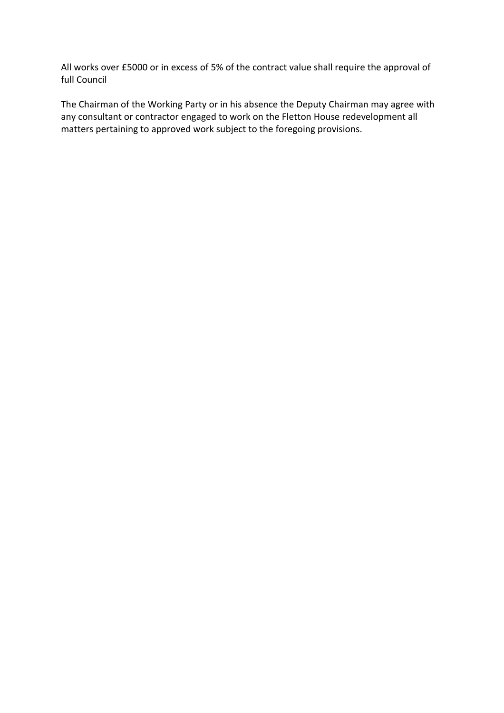All works over £5000 or in excess of 5% of the contract value shall require the approval of full Council

The Chairman of the Working Party or in his absence the Deputy Chairman may agree with any consultant or contractor engaged to work on the Fletton House redevelopment all matters pertaining to approved work subject to the foregoing provisions.